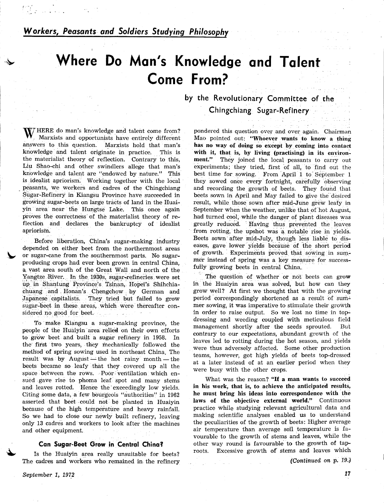September 1, 1972

 $\blacklozenge$ 

\$

# Workers, Peasants and Soldiers Studying Philosophy

# Where Do Man's Knowledge and Talent Come From?

by the Revolutionary Committee of the Chingchiang Sugar-Refinery

HERE do man's knowledge and talent come from? Marxists and opportunists have entirely different answers to this question. Marxists hold that man's knowledge and talent originate in practice. This is the materialist theory of reflection. Contrary to this, Liu Shao-ehi and other swindlers allege that man's knowledge and talent are "endowed by nature." This is idealist apriorism. Working together with the local peasants, we workers and cadres of the Chingchiang Sugar-Refinery in Kiangsu Province have succeeded in growing sugar-beets on large tracts of land in the Huaiyin area near the Hungtse Lake. This once again pioves the corredtness of the materialist theory of reflection and declares the bankruptcy of idealist apriorism.

Before liberation, China's sugar-making industry depended on either beet from the northernmost areas or sugar-cane from the southernmost parts. No sugarproducing crops had ever been grown in central Qhina, a vast area south of the Great Wall and north of the Yangtze River. In the 1930s, sugar-refineries were set up in Shantung Province's Tsinan, Hopei's Shihchiachuang and Honan's Chengchow by German and Japanese capitalists. They tried but failed to grow sugar-beet in these areas, which were thereafter considered no good for beet. a Calvar

To make Kiangsu a sugar-making province, the people of the Huaiyin area relied on their own efforts to grow beet'and built a sugar refinery in 1958. In the first two years, they mechanically followed the method of spring sowing used in northeast China. The result was by August — the hot rainy month — the result was by August — the not rainy month — the<br>beets became so leafy that they covered up all the space between the rows. Poor ventilation which ensued gave rise to phoma leaf spot and many stems and leaves rotted. Hence the exceedingly low yields. Citing some data, a few bourgeois "authorities" in 1962 asserted that beet-could not be planted in Huaiyin because of the high temperature and heavy rainfall. So we had to close our newly built refinery, leaving only 13 cadres and workers to look after the machines and other equipment.

# Can Sugar-Beet Grow in Central China?

Is the Huaiyin area really unsuitable for beets? The cadres and workers who remained in the refinery pondered this question over and over again. Chairman Mao pointed out: "Whoever wants to know a thing has no way of doing so except by coming into contact with it, that is, by living (practising) in its environ-<br>ment." They joined the local peasants to carry out They joined the local peasants to carry out experiments; they tried, first of all, to find out the

best time for sowing. From April 1 to September 1 they sowed once every fortnight, earefully observing and recording the growth of beets. They found that beets sown in April and May failed to give the desired result, while those sown after mid-June grew leafy in September when the weather, unlike that of hot August, had turned cool; while the danger of plant diseases was greatly reduced. Having thus prevented the leaves from rotting, the upshot was a notable rise in yields. Beets sown after mid-July, though less liable to diseases, gave lower yields because of the short period of growth. Experiments proved that sowing in summer instead of spring was a key measure for success-<br>fully growing beets in central China.

The question of whether or not beets can grow in the Huaiyin area was solved, but how can they grow well? At first we thought that with the growing period correspondingly shortened as a result of summer sowing, it was imperative to stimulate their growth in order to raise output. So we lost no time in topdressing and weeding coupled with meticulous field management shortly after the seeds sprouted. But contrary to our expectations, abundant growth of the leaves led to rotting during the hot season, and yields were thus adversely affected. Some other production teams, however, got high yields of beets top-dressed at a later instead of at an earlier period when they were busy with the other crops.

What was the reason? "If a man wants to succeed in his work, that is, to achieve the anticipated results, he must bring his ideas into correspondence with the laws of the objective external world." Continuous practice while studying relevant agricultural data and maklng scientific analyses enabled us to understand the peculiarities of the growth of beets: Higher average air temperature than average soil temperature is favourable to the growth of stems and leaves, while the other way round is favourable to the growth of taproots. Excessive growth of' stems and leaves which

(Continued on p. 19.)